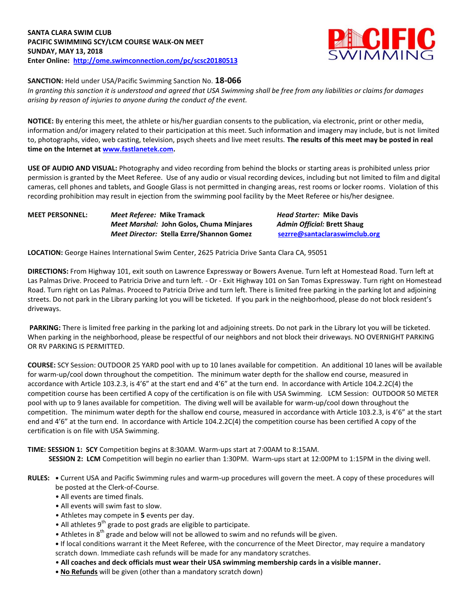

**SANCTION:** Held under USA/Pacific Swimming Sanction No. **18-066**

*In granting this sanction it is understood and agreed that USA Swimming shall be free from any liabilities or claims for damages arising by reason of injuries to anyone during the conduct of the event.*

**NOTICE:** By entering this meet, the athlete or his/her guardian consents to the publication, via electronic, print or other media, information and/or imagery related to their participation at this meet. Such information and imagery may include, but is not limited to, photographs, video, web casting, television, psych sheets and live meet results. **The results of this meet may be posted in real time on the Internet a[t www.fastlanetek.com.](http://www.fastlanetek.com/)**

**USE OF AUDIO AND VISUAL:** Photography and video recording from behind the blocks or starting areas is prohibited unless prior permission is granted by the Meet Referee. Use of any audio or visual recording devices, including but not limited to film and digital cameras, cell phones and tablets, and Google Glass is not permitted in changing areas, rest rooms or locker rooms. Violation of this recording prohibition may result in ejection from the swimming pool facility by the Meet Referee or his/her designee.

| <b>MEET PERSONNEL:</b> | Meet Referee: Mike Tramack                | <i>Head Starter: Mike Davis</i>    |  |  |
|------------------------|-------------------------------------------|------------------------------------|--|--|
|                        | Meet Marshal: John Golos, Chuma Minjares  | <b>Admin Official: Brett Shaug</b> |  |  |
|                        | Meet Director: Stella Ezrre/Shannon Gomez | sezrre@santaclaraswimclub.org      |  |  |

**LOCATION:** George Haines International Swim Center, 2625 Patricia Drive Santa Clara CA, 95051

**DIRECTIONS:** From Highway 101, exit south on Lawrence Expressway or Bowers Avenue. Turn left at Homestead Road. Turn left at Las Palmas Drive. Proceed to Patricia Drive and turn left. - Or - Exit Highway 101 on San Tomas Expressway. Turn right on Homestead Road. Turn right on Las Palmas. Proceed to Patricia Drive and turn left. There is limited free parking in the parking lot and adjoining streets. Do not park in the Library parking lot you will be ticketed. If you park in the neighborhood, please do not block resident's driveways.

**PARKING:** There is limited free parking in the parking lot and adjoining streets. Do not park in the Library lot you will be ticketed. When parking in the neighborhood, please be respectful of our neighbors and not block their driveways. NO OVERNIGHT PARKING OR RV PARKING IS PERMITTED.

**COURSE:** SCY Session: OUTDOOR 25 YARD pool with up to 10 lanes available for competition. An additional 10 lanes will be available for warm-up/cool down throughout the competition. The minimum water depth for the shallow end course, measured in accordance with Article 103.2.3, is 4'6" at the start end and 4'6" at the turn end. In accordance with Article 104.2.2C(4) the competition course has been certified A copy of the certification is on file with USA Swimming. LCM Session: OUTDOOR 50 METER pool with up to 9 lanes available for competition. The diving well will be available for warm-up/cool down throughout the competition. The minimum water depth for the shallow end course, measured in accordance with Article 103.2.3, is 4'6" at the start end and 4'6" at the turn end. In accordance with Article 104.2.2C(4) the competition course has been certified A copy of the certification is on file with USA Swimming.

**TIME: SESSION 1: SCY** Competition begins at 8:30AM. Warm-ups start at 7:00AM to 8:15AM.  **SESSION 2: LCM** Competition will begin no earlier than 1:30PM. Warm-ups start at 12:00PM to 1:15PM in the diving well.

- **RULES: •** Current USA and Pacific Swimming rules and warm-up procedures will govern the meet. A copy of these procedures will be posted at the Clerk-of-Course.
	- All events are timed finals.
	- All events will swim fast to slow.
	- Athletes may compete in **5** events per day.
	- $\bullet$  All athletes 9<sup>th</sup> grade to post grads are eligible to participate.
	- Athletes in  $8<sup>th</sup>$  grade and below will not be allowed to swim and no refunds will be given.
	- **•** If local conditions warrant it the Meet Referee, with the concurrence of the Meet Director, may require a mandatory scratch down. Immediate cash refunds will be made for any mandatory scratches.
	- **All coaches and deck officials must wear their USA swimming membership cards in a visible manner.**
	- **• No Refunds** will be given (other than a mandatory scratch down)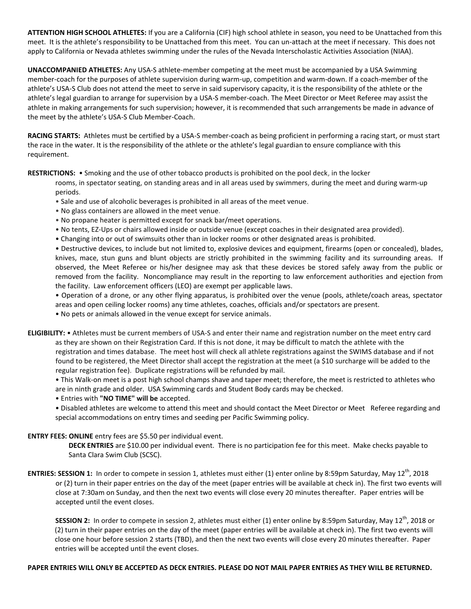**ATTENTION HIGH SCHOOL ATHLETES:** If you are a California (CIF) high school athlete in season, you need to be Unattached from this meet. It is the athlete's responsibility to be Unattached from this meet. You can un-attach at the meet if necessary. This does not apply to California or Nevada athletes swimming under the rules of the Nevada Interscholastic Activities Association (NIAA).

**UNACCOMPANIED ATHLETES:** Any USA-S athlete-member competing at the meet must be accompanied by a USA Swimming member-coach for the purposes of athlete supervision during warm-up, competition and warm-down. If a coach-member of the athlete's USA-S Club does not attend the meet to serve in said supervisory capacity, it is the responsibility of the athlete or the athlete's legal guardian to arrange for supervision by a USA-S member-coach. The Meet Director or Meet Referee may assist the athlete in making arrangements for such supervision; however, it is recommended that such arrangements be made in advance of the meet by the athlete's USA-S Club Member-Coach.

**RACING STARTS:** Athletes must be certified by a USA-S member-coach as being proficient in performing a racing start, or must start the race in the water. It is the responsibility of the athlete or the athlete's legal guardian to ensure compliance with this requirement.

**RESTRICTIONS:** • Smoking and the use of other tobacco products is prohibited on the pool deck, in the locker

rooms, in spectator seating, on standing areas and in all areas used by swimmers, during the meet and during warm-up periods.

- Sale and use of alcoholic beverages is prohibited in all areas of the meet venue.
- No glass containers are allowed in the meet venue.
- No propane heater is permitted except for snack bar/meet operations.
- No tents, EZ-Ups or chairs allowed inside or outside venue (except coaches in their designated area provided).
- Changing into or out of swimsuits other than in locker rooms or other designated areas is prohibited.

• Destructive devices, to include but not limited to, explosive devices and equipment, firearms (open or concealed), blades, knives, mace, stun guns and blunt objects are strictly prohibited in the swimming facility and its surrounding areas. If observed, the Meet Referee or his/her designee may ask that these devices be stored safely away from the public or removed from the facility. Noncompliance may result in the reporting to law enforcement authorities and ejection from the facility. Law enforcement officers (LEO) are exempt per applicable laws.

• Operation of a drone, or any other flying apparatus, is prohibited over the venue (pools, athlete/coach areas, spectator areas and open ceiling locker rooms) any time athletes, coaches, officials and/or spectators are present.

• No pets or animals allowed in the venue except for service animals.

**ELIGIBILITY:** • Athletes must be current members of USA-S and enter their name and registration number on the meet entry card as they are shown on their Registration Card. If this is not done, it may be difficult to match the athlete with the registration and times database. The meet host will check all athlete registrations against the SWIMS database and if not found to be registered, the Meet Director shall accept the registration at the meet (a \$10 surcharge will be added to the regular registration fee). Duplicate registrations will be refunded by mail.

• This Walk-on meet is a post high school champs shave and taper meet; therefore, the meet is restricted to athletes who are in ninth grade and older. USA Swimming cards and Student Body cards may be checked.

• Entries with **"NO TIME" will be** accepted.

• Disabled athletes are welcome to attend this meet and should contact the Meet Director or Meet Referee regarding and special accommodations on entry times and seeding per Pacific Swimming policy.

## **ENTRY FEES: ONLINE** entry fees are \$5.50 per individual event.

**DECK ENTRIES** are \$10.00 per individual event. There is no participation fee for this meet. Make checks payable to Santa Clara Swim Club (SCSC).

**ENTRIES: SESSION 1:** In order to compete in session 1, athletes must either (1) enter online by 8:59pm Saturday, May 12<sup>th</sup>, 2018 or (2) turn in their paper entries on the day of the meet (paper entries will be available at check in). The first two events will close at 7:30am on Sunday, and then the next two events will close every 20 minutes thereafter. Paper entries will be accepted until the event closes.

SESSION 2: In order to compete in session 2, athletes must either (1) enter online by 8:59pm Saturday, May 12<sup>th</sup>, 2018 or (2) turn in their paper entries on the day of the meet (paper entries will be available at check in). The first two events will close one hour before session 2 starts (TBD), and then the next two events will close every 20 minutes thereafter. Paper entries will be accepted until the event closes.

# **PAPER ENTRIES WILL ONLY BE ACCEPTED AS DECK ENTRIES. PLEASE DO NOT MAIL PAPER ENTRIES AS THEY WILL BE RETURNED.**